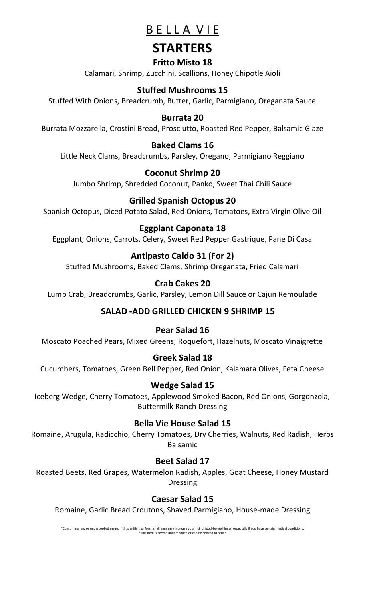# BELLA VIE

# **STARTERS**

# **Fritto Misto 18**

Calamari, Shrimp, Zucchini, Scallions, Honey Chipotle Aioli

# **Stuffed Mushrooms 15**

Stuffed With Onions, Breadcrumb, Butter, Garlic, Parmigiano, Oreganata Sauce

# **Burrata 20**

Burrata Mozzarella, Crostini Bread, Prosciutto, Roasted Red Pepper, Balsamic Glaze

# **Baked Clams 16**

Little Neck Clams, Breadcrumbs, Parsley, Oregano, Parmigiano Reggiano

# **Coconut Shrimp 20**

Jumbo Shrimp, Shredded Coconut, Panko, Sweet Thai Chili Sauce

# **Grilled Spanish Octopus 20**

Spanish Octopus, Diced Potato Salad, Red Onions, Tomatoes, Extra Virgin Olive Oil

# **Eggplant Caponata 18**

Eggplant, Onions, Carrots, Celery, Sweet Red Pepper Gastrique, Pane Di Casa

# **Antipasto Caldo 31 (For 2)**

Stuffed Mushrooms, Baked Clams, Shrimp Oreganata, Fried Calamari

# **Crab Cakes 20**

Lump Crab, Breadcrumbs, Garlic, Parsley, Lemon Dill Sauce or Cajun Remoulade

# **SALAD -ADD GRILLED CHICKEN 9 SHRIMP 15**

# **Pear Salad 16**

Moscato Poached Pears, Mixed Greens, Roquefort, Hazelnuts, Moscato Vinaigrette

# **Greek Salad 18**

Cucumbers, Tomatoes, Green Bell Pepper, Red Onion, Kalamata Olives, Feta Cheese

# **Wedge Salad 15**

Iceberg Wedge, Cherry Tomatoes, Applewood Smoked Bacon, Red Onions, Gorgonzola, Buttermilk Ranch Dressing

# **Bella Vie House Salad 15**

Romaine, Arugula, Radicchio, Cherry Tomatoes, Dry Cherries, Walnuts, Red Radish, Herbs Balsamic

# **Beet Salad 17**

Roasted Beets, Red Grapes, Watermelon Radish, Apples, Goat Cheese, Honey Mustard Dressing

# **Caesar Salad 15**

Romaine, Garlic Bread Croutons, Shaved Parmigiano, House-made Dressing

\*Consuming raw or undercooked meats, fish, shellfish, or fresh shell eggs may increase your risk of food-borne illness, especially if you have certain medical conditions.<br>This item is served undercooked or can be cooked to